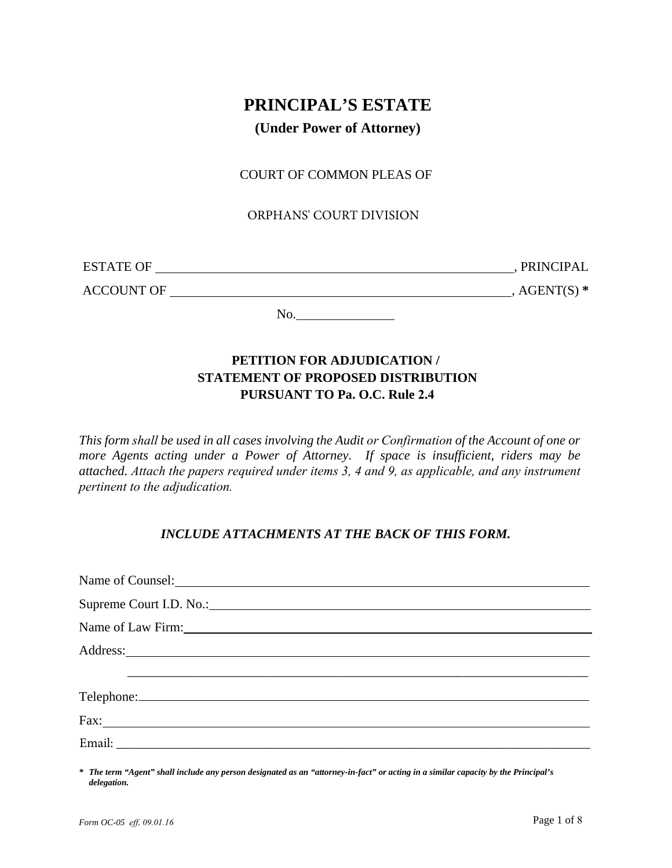# **PRINCIPAL'S ESTATE**

# **(Under Power of Attorney)**

## COURT OF COMMON PLEAS OF

### ORPHANS' COURT DIVISION

| <b>ESTATE OF</b>  | PRINCIPAL    |
|-------------------|--------------|
| <b>ACCOUNT OF</b> | $AGENT(S)$ * |

No.

# **PETITION FOR ADJUDICATION / STATEMENT OF PROPOSED DISTRIBUTION PURSUANT TO Pa. O.C. Rule 2.4**

*This form shall be used in all cases involving the Audit or Confirmation of the Account of one or more Agents acting under a Power of Attorney. If space is insufficient, riders may be attached. Attach the papers required under items 3, 4 and 9, as applicable, and any instrument pertinent to the adjudication.*

## *INCLUDE ATTACHMENTS AT THE BACK OF THIS FORM.*

*\* The term "Agent" shall include any person designated as an "attorney-in-fact" or acting in a similar capacity by the Principal's delegation.*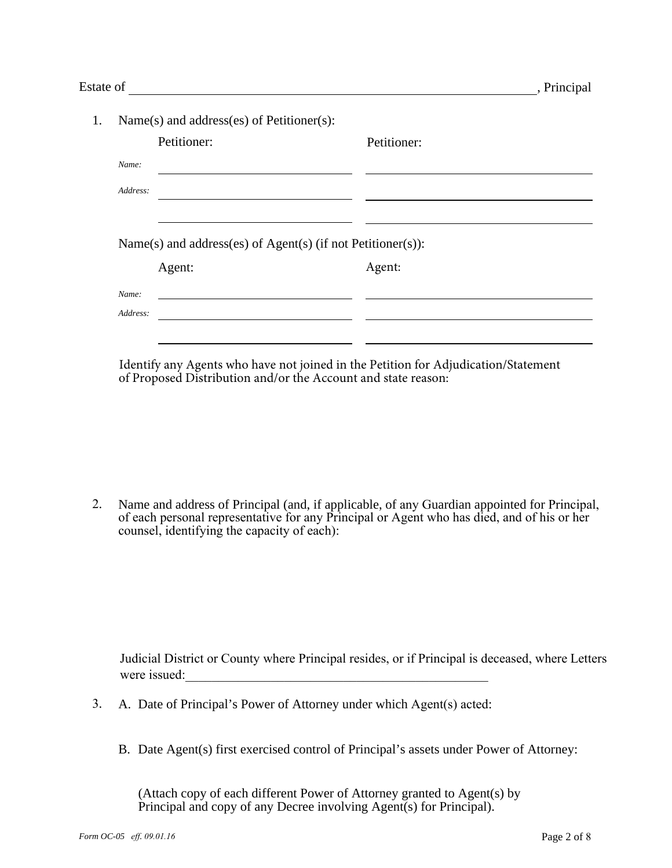| Estate of |          |                                                             |             | , Principal |
|-----------|----------|-------------------------------------------------------------|-------------|-------------|
| 1.        |          | Name(s) and address(es) of Petitioner(s):                   |             |             |
|           |          | Petitioner:                                                 | Petitioner: |             |
|           | Name:    |                                                             |             |             |
|           | Address: |                                                             |             |             |
|           |          | Name(s) and address(es) of Agent(s) (if not Petitioner(s)): |             |             |
|           |          | Agent:                                                      | Agent:      |             |
|           | Name:    |                                                             |             |             |
|           | Address: |                                                             |             |             |
|           |          |                                                             |             |             |

Identify any Agents who have not joined in the Petition for Adjudication/Statement of Proposed Distribution and/or the Account and state reason:

2. Name and address of Principal (and, if applicable, of any Guardian appointed for Principal, of each personal representative for any Principal or Agent who has died, and of his or her counsel, identifying the capacity of each):

Judicial District or County where Principal resides, or if Principal is deceased, where Letters were issued:

- 3. A. Date of Principal's Power of Attorney under which Agent(s) acted:
	- B. Date Agent(s) first exercised control of Principal's assets under Power of Attorney:

(Attach copy of each different Power of Attorney granted to Agent(s) by Principal and copy of any Decree involving Agent(s) for Principal).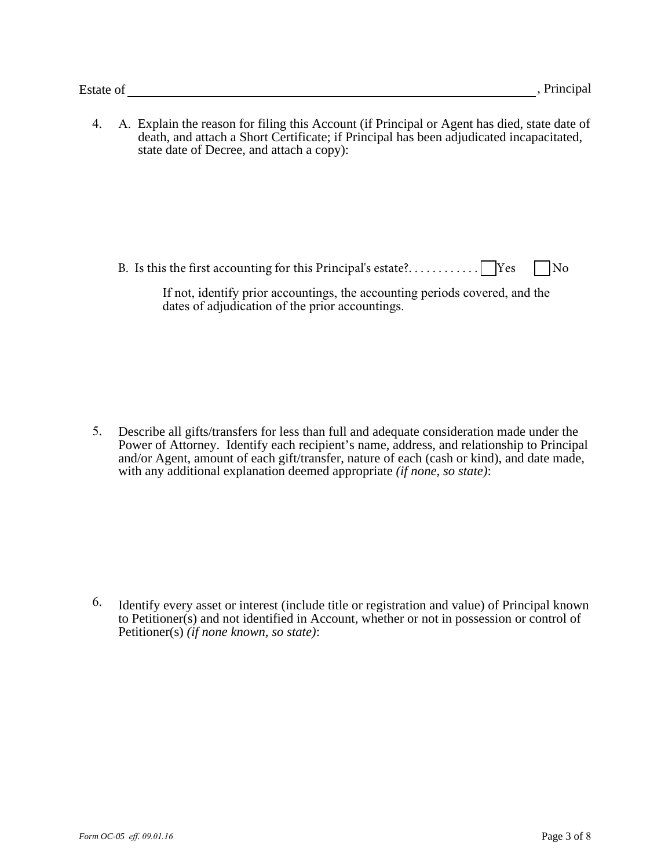4. A. Explain the reason for filing this Account (if Principal or Agent has died, state date of death, and attach a Short Certificate; if Principal has been adjudicated incapacitated, state date of Decree, and attach a copy):

B. Is this the first accounting for this Principal's estate?. . . . . . . . . . . . .  $\Box$  Yes  $\Box$  No

| If not, identify prior accountings, the accounting periods covered, and the |  |  |
|-----------------------------------------------------------------------------|--|--|
| dates of adjudication of the prior accountings.                             |  |  |

5. Describe all gifts/transfers for less than full and adequate consideration made under the Power of Attorney. Identify each recipient's name, address, and relationship to Principal and/or Agent, amount of each gift/transfer, nature of each (cash or kind), and date made, with any additional explanation deemed appropriate *(if none, so state)*:

6. Identify every asset or interest (include title or registration and value) of Principal known to Petitioner(s) and not identified in Account, whether or not in possession or control of Petitioner(s) *(if none known, so state)*: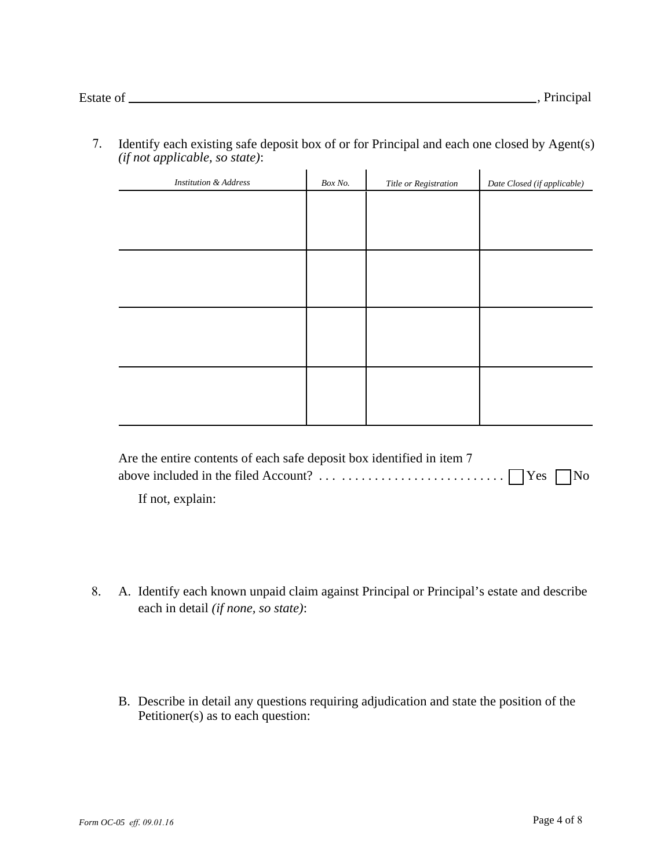7. Identify each existing safe deposit box of or for Principal and each one closed by Agent(s) *(if not applicable, so state)*:

| <b>Institution &amp; Address</b> | Box No. | Title or Registration | Date Closed (if applicable) |
|----------------------------------|---------|-----------------------|-----------------------------|
|                                  |         |                       |                             |
|                                  |         |                       |                             |
|                                  |         |                       |                             |
|                                  |         |                       |                             |
|                                  |         |                       |                             |
|                                  |         |                       |                             |
|                                  |         |                       |                             |
|                                  |         |                       |                             |
|                                  |         |                       |                             |
|                                  |         |                       |                             |
|                                  |         |                       |                             |
|                                  |         |                       |                             |

| Are the entire contents of each safe deposit box identified in item 7 |  |
|-----------------------------------------------------------------------|--|
|                                                                       |  |

If not, explain:

- 8. A. Identify each known unpaid claim against Principal or Principal's estate and describe each in detail *(if none, so state)*:
	- B. Describe in detail any questions requiring adjudication and state the position of the Petitioner(s) as to each question: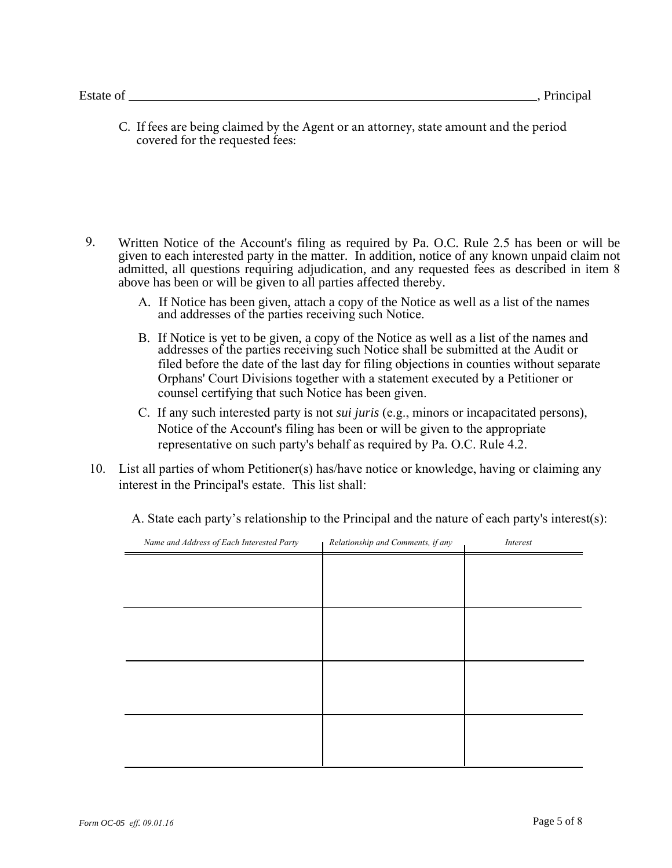C. If fees are being claimed by the Agent or an attorney, state amount and the period covered for the requested fees:

- 9. Written Notice of the Account's filing as required by Pa. O.C. Rule 2.5 has been or will be given to each interested party in the matter. In addition, notice of any known unpaid claim not admitted, all questions requiring adjudication, and any requested fees as described in item 8 above has been or will be given to all parties affected thereby.
	- A. If Notice has been given, attach a copy of the Notice as well as a list of the names and addresses of the parties receiving such Notice.
	- B. If Notice is yet to be given, a copy of the Notice as well as a list of the names and addresses of the parties receiving such Notice shall be submitted at the Audit or filed before the date of the last day for filing objections in counties without separate Orphans' Court Divisions together with a statement executed by a Petitioner or counsel certifying that such Notice has been given.
	- C. If any such interested party is not *sui juris* (e.g., minors or incapacitated persons), Notice of the Account's filing has been or will be given to the appropriate representative on such party's behalf as required by Pa. O.C. Rule 4.2.
- 10. List all parties of whom Petitioner(s) has/have notice or knowledge, having or claiming any interest in the Principal's estate. This list shall:

A. State each party's relationship to the Principal and the nature of each party's interest(s):

| Name and Address of Each Interested Party | Relationship and Comments, if any | Interest |
|-------------------------------------------|-----------------------------------|----------|
|                                           |                                   |          |
|                                           |                                   |          |
|                                           |                                   |          |
|                                           |                                   |          |
|                                           |                                   |          |
|                                           |                                   |          |
|                                           |                                   |          |
|                                           |                                   |          |
|                                           |                                   |          |
|                                           |                                   |          |
|                                           |                                   |          |
|                                           |                                   |          |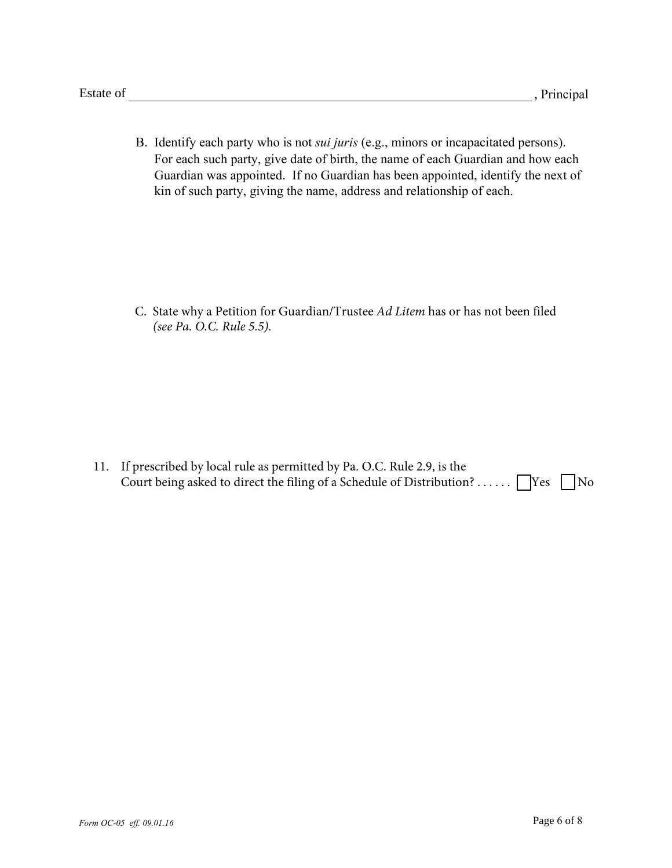B. Identify each party who is not *sui juris* (e.g., minors or incapacitated persons). For each such party, give date of birth, the name of each Guardian and how each Guardian was appointed. If no Guardian has been appointed, identify the next of kin of such party, giving the name, address and relationship of each.

C. State why a Petition for Guardian/Trustee *Ad Litem* has or has not been filed *(see Pa. O.C. Rule 5.5).*

11. If prescribed by local rule as permitted by Pa. O.C. Rule 2.9, is the Court being asked to direct the filing of a Schedule of Distribution? . . . . . .  $\Box$  Yes  $\Box$  No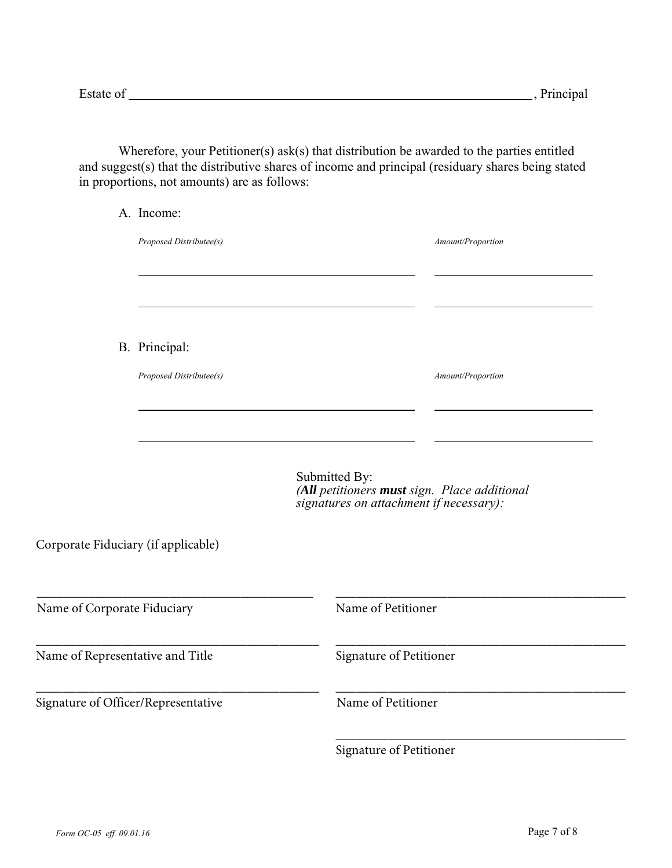Wherefore, your Petitioner(s) ask(s) that distribution be awarded to the parties entitled and suggest(s) that the distributive shares of income and principal (residuary shares being stated in proportions, not amounts) are as follows:

|                                     | A. Income:              |                                                                                                          |                   |  |
|-------------------------------------|-------------------------|----------------------------------------------------------------------------------------------------------|-------------------|--|
|                                     | Proposed Distributee(s) |                                                                                                          | Amount/Proportion |  |
|                                     |                         |                                                                                                          |                   |  |
|                                     | B. Principal:           |                                                                                                          |                   |  |
|                                     | Proposed Distributee(s) |                                                                                                          | Amount/Proportion |  |
|                                     |                         |                                                                                                          |                   |  |
|                                     |                         | Submitted By:<br>(All petitioners must sign. Place additional<br>signatures on attachment if necessary): |                   |  |
| Corporate Fiduciary (if applicable) |                         |                                                                                                          |                   |  |
| Name of Corporate Fiduciary         |                         | Name of Petitioner                                                                                       |                   |  |
| Name of Representative and Title    |                         | Signature of Petitioner                                                                                  |                   |  |
| Signature of Officer/Representative |                         | Name of Petitioner                                                                                       |                   |  |
|                                     |                         |                                                                                                          |                   |  |

Signature of Petitioner